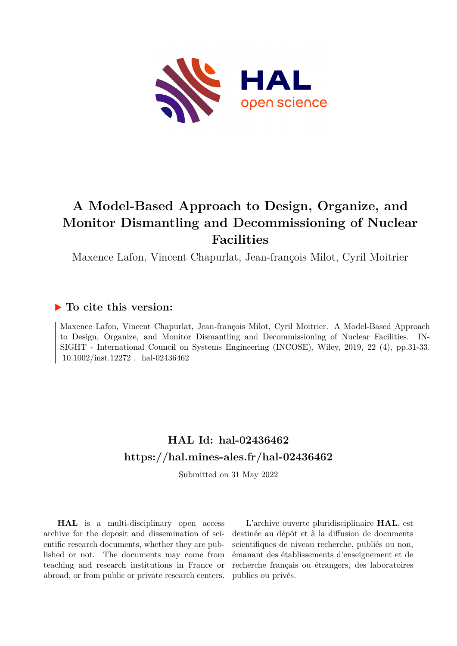

# **A Model-Based Approach to Design, Organize, and Monitor Dismantling and Decommissioning of Nuclear Facilities**

Maxence Lafon, Vincent Chapurlat, Jean-françois Milot, Cyril Moitrier

# **To cite this version:**

Maxence Lafon, Vincent Chapurlat, Jean-françois Milot, Cyril Moitrier. A Model-Based Approach to Design, Organize, and Monitor Dismantling and Decommissioning of Nuclear Facilities. IN-SIGHT - International Council on Systems Engineering (INCOSE), Wiley, 2019, 22 (4), pp.31-33.  $10.1002/$ inst.12272. hal-02436462

# **HAL Id: hal-02436462 <https://hal.mines-ales.fr/hal-02436462>**

Submitted on 31 May 2022

**HAL** is a multi-disciplinary open access archive for the deposit and dissemination of scientific research documents, whether they are published or not. The documents may come from teaching and research institutions in France or abroad, or from public or private research centers.

L'archive ouverte pluridisciplinaire **HAL**, est destinée au dépôt et à la diffusion de documents scientifiques de niveau recherche, publiés ou non, émanant des établissements d'enseignement et de recherche français ou étrangers, des laboratoires publics ou privés.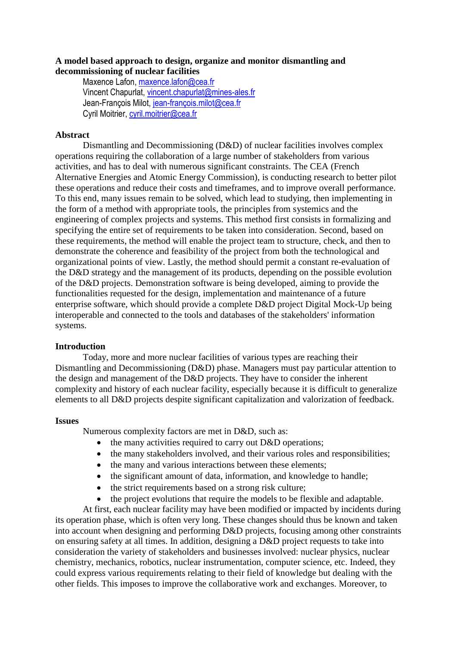# **A model based approach to design, organize and monitor dismantling and decommissioning of nuclear facilities**

Maxence Lafon, [maxence.lafon@cea.fr](mailto:maxence.lafon@cea.fr) Vincent Chapurlat[, vincent.chapurlat@mines-ales.fr](mailto:vincent.chapurlat@mines-ales.fr) Jean-François Milot, [jean-françois.milot@cea.fr](mailto:jean-françois.milot@cea.fr) Cyril Moitrier, [cyril.moitrier@cea.fr](mailto:cyril.moitrier@cea.fr)

## **Abstract**

Dismantling and Decommissioning (D&D) of nuclear facilities involves complex operations requiring the collaboration of a large number of stakeholders from various activities, and has to deal with numerous significant constraints. The CEA (French Alternative Energies and Atomic Energy Commission), is conducting research to better pilot these operations and reduce their costs and timeframes, and to improve overall performance. To this end, many issues remain to be solved, which lead to studying, then implementing in the form of a method with appropriate tools, the principles from systemics and the engineering of complex projects and systems. This method first consists in formalizing and specifying the entire set of requirements to be taken into consideration. Second, based on these requirements, the method will enable the project team to structure, check, and then to demonstrate the coherence and feasibility of the project from both the technological and organizational points of view. Lastly, the method should permit a constant re-evaluation of the D&D strategy and the management of its products, depending on the possible evolution of the D&D projects. Demonstration software is being developed, aiming to provide the functionalities requested for the design, implementation and maintenance of a future enterprise software, which should provide a complete D&D project Digital Mock-Up being interoperable and connected to the tools and databases of the stakeholders' information systems.

## **Introduction**

Today, more and more nuclear facilities of various types are reaching their Dismantling and Decommissioning (D&D) phase. Managers must pay particular attention to the design and management of the D&D projects. They have to consider the inherent complexity and history of each nuclear facility, especially because it is difficult to generalize elements to all D&D projects despite significant capitalization and valorization of feedback.

## **Issues**

Numerous complexity factors are met in D&D, such as:

- the many activities required to carry out D&D operations;
- the many stakeholders involved, and their various roles and responsibilities;
- the many and various interactions between these elements;
- the significant amount of data, information, and knowledge to handle;
- the strict requirements based on a strong risk culture;
- the project evolutions that require the models to be flexible and adaptable.

At first, each nuclear facility may have been modified or impacted by incidents during its operation phase, which is often very long. These changes should thus be known and taken into account when designing and performing D&D projects, focusing among other constraints on ensuring safety at all times. In addition, designing a D&D project requests to take into consideration the variety of stakeholders and businesses involved: nuclear physics, nuclear chemistry, mechanics, robotics, nuclear instrumentation, computer science, etc. Indeed, they could express various requirements relating to their field of knowledge but dealing with the other fields. This imposes to improve the collaborative work and exchanges. Moreover, to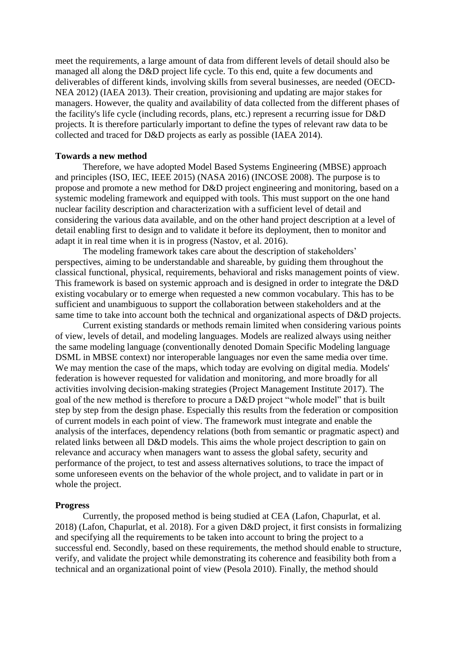meet the requirements, a large amount of data from different levels of detail should also be managed all along the D&D project life cycle. To this end, quite a few documents and deliverables of different kinds, involving skills from several businesses, are needed (OECD-NEA 2012) (IAEA 2013). Their creation, provisioning and updating are major stakes for managers. However, the quality and availability of data collected from the different phases of the facility's life cycle (including records, plans, etc.) represent a recurring issue for D&D projects. It is therefore particularly important to define the types of relevant raw data to be collected and traced for D&D projects as early as possible (IAEA 2014).

#### **Towards a new method**

Therefore, we have adopted Model Based Systems Engineering (MBSE) approach and principles (ISO, IEC, IEEE 2015) (NASA 2016) (INCOSE 2008). The purpose is to propose and promote a new method for D&D project engineering and monitoring, based on a systemic modeling framework and equipped with tools. This must support on the one hand nuclear facility description and characterization with a sufficient level of detail and considering the various data available, and on the other hand project description at a level of detail enabling first to design and to validate it before its deployment, then to monitor and adapt it in real time when it is in progress (Nastov, et al. 2016).

The modeling framework takes care about the description of stakeholders' perspectives, aiming to be understandable and shareable, by guiding them throughout the classical functional, physical, requirements, behavioral and risks management points of view. This framework is based on systemic approach and is designed in order to integrate the D&D existing vocabulary or to emerge when requested a new common vocabulary. This has to be sufficient and unambiguous to support the collaboration between stakeholders and at the same time to take into account both the technical and organizational aspects of D&D projects.

Current existing standards or methods remain limited when considering various points of view, levels of detail, and modeling languages. Models are realized always using neither the same modeling language (conventionally denoted Domain Specific Modeling language DSML in MBSE context) nor interoperable languages nor even the same media over time. We may mention the case of the maps, which today are evolving on digital media. Models' federation is however requested for validation and monitoring, and more broadly for all activities involving decision-making strategies (Project Management Institute 2017). The goal of the new method is therefore to procure a D&D project "whole model" that is built step by step from the design phase. Especially this results from the federation or composition of current models in each point of view. The framework must integrate and enable the analysis of the interfaces, dependency relations (both from semantic or pragmatic aspect) and related links between all D&D models. This aims the whole project description to gain on relevance and accuracy when managers want to assess the global safety, security and performance of the project, to test and assess alternatives solutions, to trace the impact of some unforeseen events on the behavior of the whole project, and to validate in part or in whole the project.

#### **Progress**

Currently, the proposed method is being studied at CEA (Lafon, Chapurlat, et al. 2018) (Lafon, Chapurlat, et al. 2018). For a given D&D project, it first consists in formalizing and specifying all the requirements to be taken into account to bring the project to a successful end. Secondly, based on these requirements, the method should enable to structure, verify, and validate the project while demonstrating its coherence and feasibility both from a technical and an organizational point of view (Pesola 2010). Finally, the method should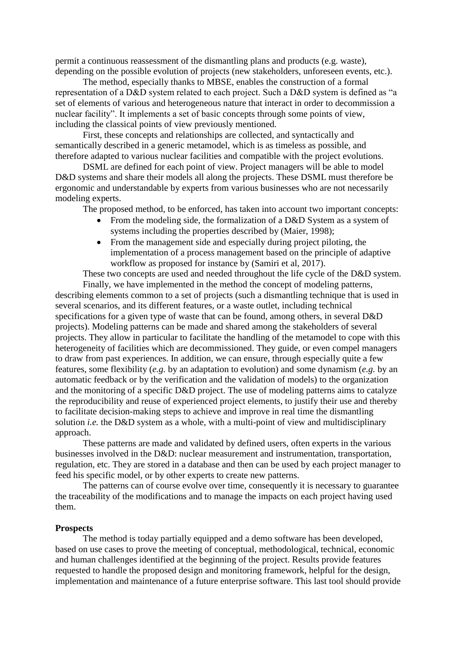permit a continuous reassessment of the dismantling plans and products (e.g. waste), depending on the possible evolution of projects (new stakeholders, unforeseen events, etc.).

The method, especially thanks to MBSE, enables the construction of a formal representation of a D&D system related to each project. Such a D&D system is defined as "a set of elements of various and heterogeneous nature that interact in order to decommission a nuclear facility". It implements a set of basic concepts through some points of view, including the classical points of view previously mentioned.

First, these concepts and relationships are collected, and syntactically and semantically described in a generic metamodel, which is as timeless as possible, and therefore adapted to various nuclear facilities and compatible with the project evolutions.

DSML are defined for each point of view. Project managers will be able to model D&D systems and share their models all along the projects. These DSML must therefore be ergonomic and understandable by experts from various businesses who are not necessarily modeling experts.

The proposed method, to be enforced, has taken into account two important concepts:

- From the modeling side, the formalization of a D&D System as a system of systems including the properties described by (Maier, 1998);
- From the management side and especially during project piloting, the implementation of a process management based on the principle of adaptive workflow as proposed for instance by (Samiri et al, 2017).

These two concepts are used and needed throughout the life cycle of the D&D system.

Finally, we have implemented in the method the concept of modeling patterns, describing elements common to a set of projects (such a dismantling technique that is used in several scenarios, and its different features, or a waste outlet, including technical specifications for a given type of waste that can be found, among others, in several D&D projects). Modeling patterns can be made and shared among the stakeholders of several projects. They allow in particular to facilitate the handling of the metamodel to cope with this heterogeneity of facilities which are decommissioned. They guide, or even compel managers to draw from past experiences. In addition, we can ensure, through especially quite a few features, some flexibility (*e.g.* by an adaptation to evolution) and some dynamism (*e.g.* by an automatic feedback or by the verification and the validation of models) to the organization and the monitoring of a specific D&D project. The use of modeling patterns aims to catalyze the reproducibility and reuse of experienced project elements, to justify their use and thereby to facilitate decision-making steps to achieve and improve in real time the dismantling solution *i.e.* the D&D system as a whole, with a multi-point of view and multidisciplinary approach.

These patterns are made and validated by defined users, often experts in the various businesses involved in the D&D: nuclear measurement and instrumentation, transportation, regulation, etc. They are stored in a database and then can be used by each project manager to feed his specific model, or by other experts to create new patterns.

The patterns can of course evolve over time, consequently it is necessary to guarantee the traceability of the modifications and to manage the impacts on each project having used them.

#### **Prospects**

The method is today partially equipped and a demo software has been developed, based on use cases to prove the meeting of conceptual, methodological, technical, economic and human challenges identified at the beginning of the project. Results provide features requested to handle the proposed design and monitoring framework, helpful for the design, implementation and maintenance of a future enterprise software. This last tool should provide